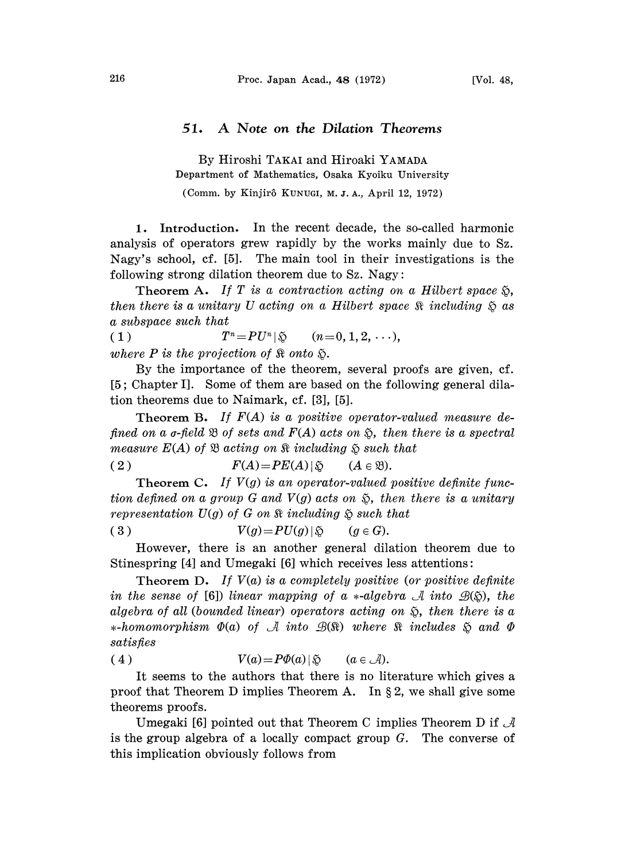## 51. A Note on the Dilation Theorems

By Hiroshi TAKAI and Hiroaki YAMADA Department of Mathematics, Osaka Kyoiku University

(Comm. by Kinjirô KUNUGI, M.J.A., April 12, 1972)

1. Introduction. In the recent decade, the so-called harmonic analysis of operators grew rapidly by the works mainly due to Sz. Nagy's school, cf. [5]. The main tool in their investigations is the following strong dilation theorem due to Sz. Nagy:

Theorem A. If T is a contraction acting on a Hilbert space  $\mathfrak{S}$ . then there is a unitary U acting on a Hilbert space  $\Re$  including  $\Im$  as a subspace such that

(1)  $T^n = PU^n | \S$   $(n=0, 1, 2, \ldots),$ where P is the projection of  $\Re$  onto  $\Im$ .

By the importance of the theorem, several proofs are given, cf. [5; Chapter I]. Some of them are based on the following general dilation theorems due to Naimark, cf. [3], [5].

**Theorem B.** If  $F(A)$  is a positive operator-valued measure defined on a  $\sigma$ -field  $\mathfrak B$  of sets and  $F(A)$  acts on  $\mathfrak S$ , then there is a spectral measure  $E(A)$  of  $\mathfrak B$  acting on  $\mathfrak R$  including  $\mathfrak S$  such that

(2) 
$$
F(A) = PE(A) | \varphi \qquad (A \in \mathfrak{B}).
$$

**Theorem C.** If  $V(g)$  is an operator-valued positive definite function defined on a group G and  $V(g)$  acts on  $\tilde{\mathcal{D}}$ , then there is a unitary representation  $U(g)$  of G on  $\Re$  including  $\Im$  such that

$$
(3) \t V(g)=PU(g)|\mathfrak{F} \t (g\in G).
$$

However, there is an another general dilation theorem due to Stinespring [4] and Umegaki [6] which receives less attentions:

Theorem D. If  $V(a)$  is a completely positive (or positive definite in the sense of [6]) linear mapping of a  $*$ -algebra  $\mathcal A$  into  $\mathcal B(\mathfrak H)$ , the algebra of all (bounded linear) operators acting on  $\tilde{S}$ , then there is a  $*$ -homomorphism  $\Phi(a)$  of A into  $\mathcal{B}(\Re)$  where  $\Re$  includes  $\Im$  and  $\Phi$ satisfies

(4) 
$$
V(a) = P\Phi(a) | \tilde{\varphi} \qquad (a \in \mathcal{A}).
$$

It seems to the authors that there is no literature which gives a proof that Theorem D implies Theorem A. In  $\S 2$ , we shall give some theorems proofs.

Umegaki [6] pointed out that Theorem C implies Theorem D if  $\mathcal A$ is the group algebra of a locally compact group G. The converse of this implication obviously follows from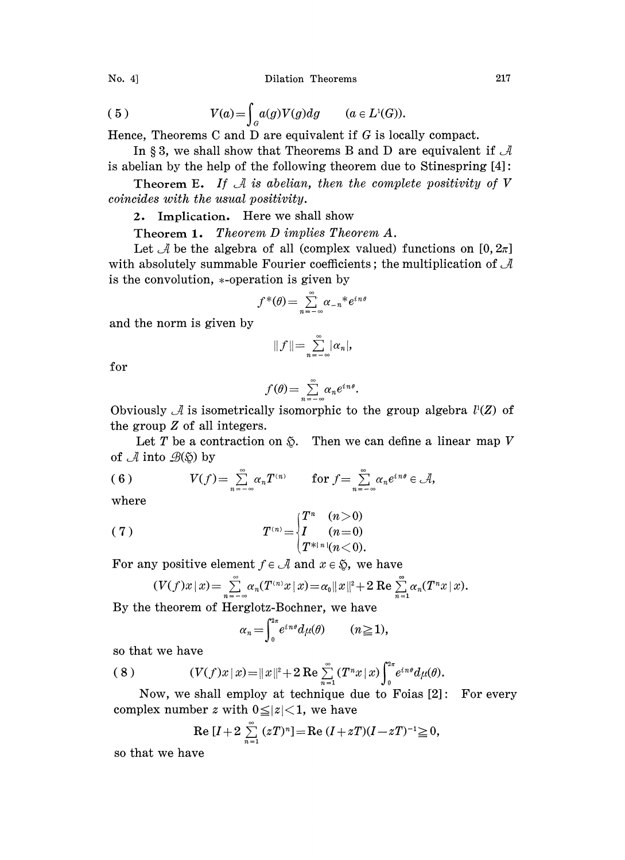Dilation Theorems 217

No. 
$$
4
$$

(5) 
$$
V(a) = \int_{G} a(g)V(g)dg \qquad (a \in L^{1}(G)).
$$

Hence, Theorems C and D are equivalent if  $G$  is locally compact.

In §3, we shall show that Theorems B and D are equivalent if  $\mathcal A$ is abelian by the help of the following theorem due to Stinespring  $[4]$ :

Theorem E. If  $\mathcal A$  is abelian, then the complete positivity of V coincides with the usual positivity.

2. Implication. Here we shall show

Theorem 1. Theorem  $D$  implies Theorem  $A$ .

Let  $\mathcal A$  be the algebra of all (complex valued) functions on [0,  $2\pi$ ] with absolutely summable Fourier coefficients; the multiplication of  $\mathcal A$ is the convolution,  $*$ -operation is given by

$$
f^*(\theta) = \sum_{n=-\infty}^{\infty} \alpha_{-n}^* e^{in\theta}
$$

and the norm is given by

$$
||f||=\sum_{n=-\infty}^{\infty}|\alpha_n|,
$$

for

$$
f(\theta) = \sum_{n=-\infty}^{\infty} \alpha_n e^{in\theta}.
$$

Obviously  $\mathcal A$  is isometrically isomorphic to the group algebra  $l^1(Z)$  of the group Z of all integers.

Let T be a contraction on  $\tilde{\varphi}$ . Then we can define a linear map V of  $\mathcal A$  into  $\mathcal B(\mathfrak{H})$  by

(6) 
$$
V(f) = \sum_{n=-\infty}^{\infty} \alpha_n T^{(n)} \quad \text{for } f = \sum_{n=-\infty}^{\infty} \alpha_n e^{in\theta} \in \mathcal{A},
$$

where

(7) 
$$
T^{(n)} = \begin{cases} T^n & (n > 0) \\ I & (n = 0) \\ T^{*1}n! (n < 0). \end{cases}
$$

For any positive element  $f \in \mathcal{A}$  and  $x \in \mathfrak{D}$ , we have

$$
(V(f)x \,|\, x) = \sum_{n=-\infty}^{\infty} \alpha_n(T^{(n)}x \,|\, x) = \alpha_0 ||x||^2 + 2 \operatorname{Re} \sum_{n=1}^{\infty} \alpha_n(T^n x \,|\, x).
$$

By the theorem of Herglotz-Bochner, we have

$$
\alpha_n = \int_0^{2\pi} e^{in\theta} d\mu(\theta) \qquad (n \ge 1),
$$

so that we have

(8) 
$$
(V(f)x | x) = ||x||^{2} + 2 \operatorname{Re} \sum_{n=1}^{\infty} (T^{n}x | x) \int_{0}^{2\pi} e^{in\theta} d\mu(\theta).
$$

Now, we shall employ at technique due to Foias  $[2]$ : For every complex number z with  $0 \leq |z| < 1$ , we have

Re 
$$
[I + 2 \sum_{n=1}^{\infty} (zT)^n]
$$
 = Re  $(I + zT)(I - zT)^{-1} \ge 0$ ,

so that we have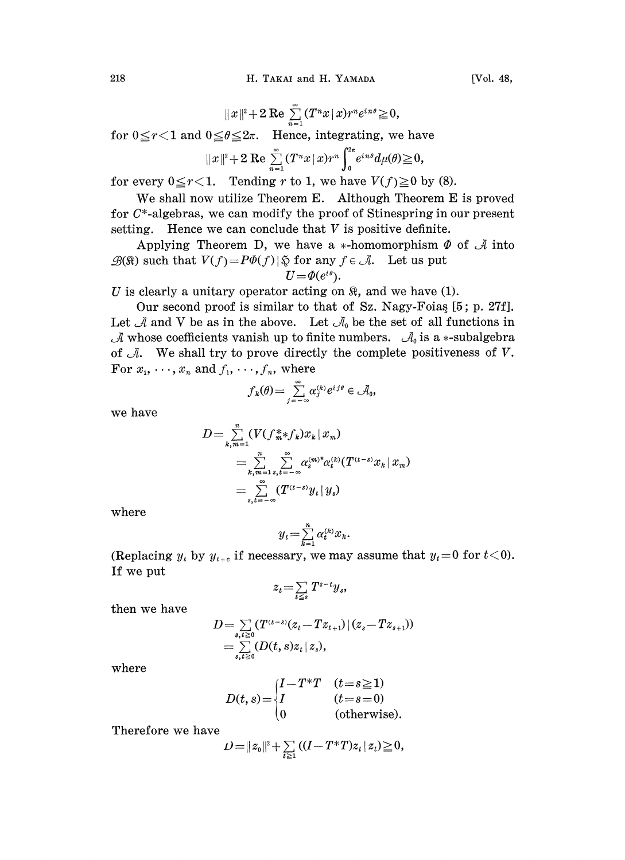$$
||x||^2+2 \operatorname{Re} \sum_{n=1}^{\infty} (T^n x \, | \, x) r^n e^{in\theta} \geq 0,
$$

for  $0 \le r < 1$  and  $0 \le \theta \le 2\pi$ . Hence, integrating, we have

$$
||x||^2+2 \operatorname{Re} \sum_{n=1}^{\infty} (T^n x |x) r^n \int_0^{2\pi} e^{in\theta} d\mu(\theta) \geq 0,
$$

for every  $0 \le r < 1$ . Tending r to 1, we have  $V(f) \ge 0$  by (8).

We shall now utilize Theorem E. Although Theorem E is proved for  $C^*$ -algebras, we can modify the proof of Stinespring in our present setting. Hence we can conclude that  $V$  is positive definite.

Applying Theorem D, we have a \*-homomorphism  $\Phi$  of  $\mathcal A$  into  $\mathcal{B}(\mathbb{R})$  such that  $V(f) = P\Phi(f) | \mathfrak{D}$  for any  $f \in \mathcal{A}$ . Let us put  $U = \Phi(e^{i\theta}).$ 

U is clearly a unitary operator acting on  $\Re$ , and we have (1).

Our second proof is similar to that of Sz. Nagy-Foias [5; p. 27f]. Let  $\mathcal A$  and V be as in the above. Let  $\mathcal A_0$  be the set of all functions in  $\mathcal A$  whose coefficients vanish up to finite numbers.  $\mathcal A_0$  is a  $*$ -subalgebra of  $\mathcal{A}$ . We shall try to prove directly the complete positiveness of  $V$ . For  $x_1, \dots, x_n$  and  $f_1, \dots, f_n$ , where

$$
f_k(\theta) = \sum_{j=-\infty}^{\infty} \alpha_j^{(k)} e^{i j \theta} \in \mathcal{A}_0,
$$

we have

$$
D = \sum_{k,m=1}^{n} (V(f_m^* * f_k)x_k | x_m)
$$
  
= 
$$
\sum_{k,m=1}^{n} \sum_{s,t=-\infty}^{\infty} \alpha_s^{(m)*} \alpha_t^{(k)} (T^{(t-s)}x_k | x_m)
$$
  
= 
$$
\sum_{s,t=-\infty}^{n} (T^{(t-s)}y_t | y_s)
$$

where

$$
y_t = \sum_{k=1}^n \alpha_k^{(k)} x_k.
$$

(Replacing  $y_t$  by  $y_{t+c}$  if necessary, we may assume that  $y_t=0$  for  $t<0$ ). If we put

$$
z_t = \sum_{t \leq s} T^{s-t} y_s,
$$

then we have

$$
D = \sum_{s,t \geq 0} (T^{(t-s)}(z_t - T z_{t+1}) \, | \, (z_s - T z_{s+1}))
$$
  
= 
$$
\sum_{s,t \geq 0} (D(t,s) z_t \, | \, z_s),
$$

where

$$
D(t,s) = \begin{cases} I - T^*T & (t=s \ge 1) \\ I & (t=s=0) \\ 0 & \text{(otherwise).} \end{cases}
$$

Therefore we have

$$
D\!=\!\|z_{\scriptscriptstyle 0}\|^{\scriptscriptstyle 2} \!+\! \textstyle \sum\limits_{t\geq 1}\left((I\!-\!T^*T)z_t\,|\,z_t\right)\!\geq\! 0,
$$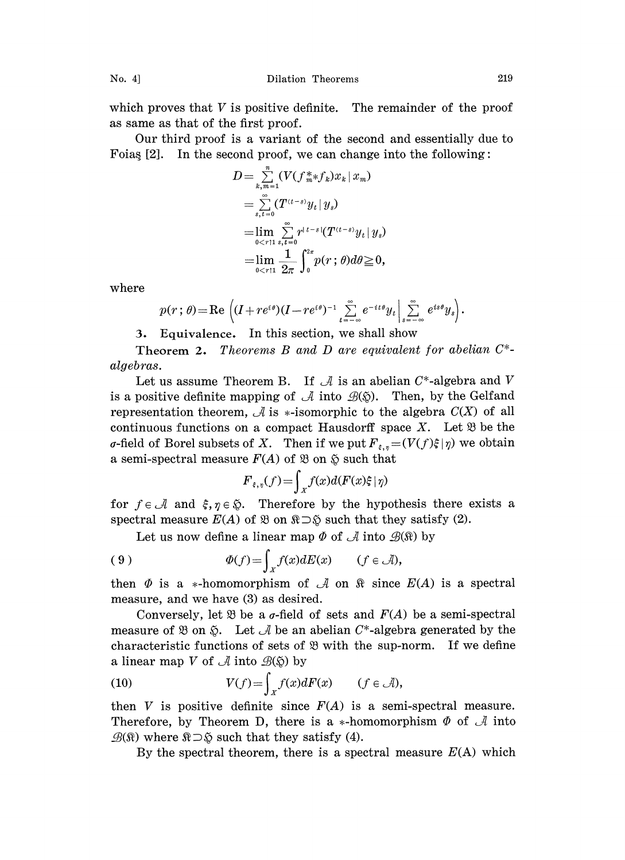which proves that  $V$  is positive definite. The remainder of the proof as same as that of the first proof.

Our third proof is a variant of the second and essentially due to Foias  $[2]$ . In the second proof, we can change into the following:

$$
D = \sum_{k,m=1}^{n} (V(f_m^* * f_k)x_k | x_m)
$$
  
= 
$$
\sum_{s,t=0}^{\infty} (T^{(t-s)}y_t | y_s)
$$
  
= 
$$
\lim_{0 < r \uparrow 1} \sum_{s,t=0}^{\infty} r^{(t-s)} (T^{(t-s)}y_t | y_s)
$$
  
= 
$$
\lim_{0 < r \uparrow 1} \frac{1}{2\pi} \int_0^{2\pi} p(r; \theta) d\theta \ge 0,
$$

where

$$
p(r; \theta) = \text{Re}\left( (I + re^{i\theta})(I - re^{i\theta})^{-1} \sum_{t=-\infty}^{\infty} e^{-it\theta} y_t \Big| \sum_{s=-\infty}^{\infty} e^{is\theta} y_s \right).
$$

3. Equivalence. In this section, we shall show

**Theorem 2.** Theorems B and D are equivalent for abelian  $C^*$ algebras.

Let us assume Theorem B. If  $\mathcal A$  is an abelian  $C^*$ -algebra and V is a positive definite mapping of  $\mathcal A$  into  $\mathcal B(\mathfrak{D})$ . Then, by the Gelfand representation theorem,  $\mathcal A$  is \*-isomorphic to the algebra  $C(X)$  of all continuous functions on a compact Hausdorff space X. Let  $\mathfrak{B}$  be the  $\sigma$ -field of Borel subsets of X. Then if we put  $F_{\xi,\eta} = (V(f)\xi|\eta)$  we obtain a semi-spectral measure  $F(A)$  of  $\mathfrak B$  on  $\mathfrak S$  such that

$$
F_{\varepsilon,\eta}(f) = \int_X f(x) d(F(x)\xi \mid \eta)
$$

for  $f \in \mathcal{A}$  and  $\xi, \eta \in \mathcal{D}$ . Therefore by the hypothesis there exists a spectral measure  $E(A)$  of  $\mathfrak{B}$  on  $\mathfrak{R}\supset \mathfrak{D}$  such that they satisfy (2).

Let us now define a linear map  $\Phi$  of  $\mathcal A$  into  $\mathcal B(\Re)$  by

(9) 
$$
\Phi(f) = \int_X f(x) dE(x) \qquad (f \in \mathcal{A}),
$$

then  $\Phi$  is a \*-homomorphism of  $\mathcal A$  on  $\mathfrak R$  since  $E(A)$  is a spectral measure, and we have (3) as desired.

Conversely, let  $\mathfrak B$  be a  $\sigma$ -field of sets and  $F(A)$  be a semi-spectral measure of  $\mathfrak{B}$  on  $\mathfrak{D}$ . Let  $\mathcal A$  be an abelian C\*-algebra generated by the characteristic functions of sets of  $\mathfrak{B}$  with the sup-norm. If we define a linear map V of  $\mathcal A$  into  $\mathcal B(\S)$  by

(10) 
$$
V(f) = \int_{X} f(x) dF(x) \qquad (f \in \mathcal{A}),
$$

then V is positive definite since  $F(A)$  is a semi-spectral measure. Therefore, by Theorem D, there is a  $*$ -homomorphism  $\Phi$  of  $\mathcal A$  into  $\mathscr{B}(\mathbb{R})$  where  $\mathbb{R}\supset \mathfrak{F}$  such that they satisfy (4).

By the spectral theorem, there is a spectral measure  $E(A)$  which